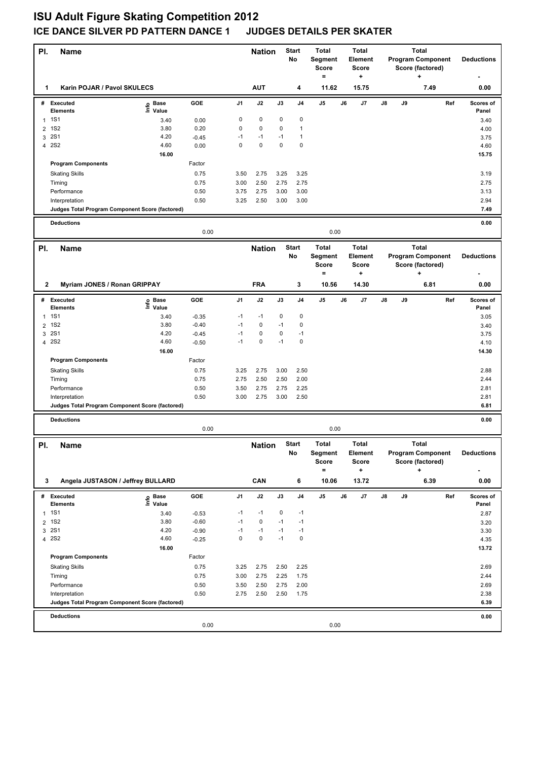## **ISU Adult Figure Skating Competition 2012 ICE DANCE SILVER PD PATTERN DANCE 1 JUDGES DETAILS PER SKATER**

| PI.            | <b>Name</b>                                     |                   |                    |              | <b>Nation</b>     |              | <b>Start</b><br>No | <b>Total</b><br><b>Segment</b><br><b>Score</b><br>$\qquad \qquad =$ |    | <b>Total</b><br>Element<br><b>Score</b><br>٠  |    |    | <b>Total</b><br><b>Program Component</b><br>Score (factored)<br>÷ |     | <b>Deductions</b>  |
|----------------|-------------------------------------------------|-------------------|--------------------|--------------|-------------------|--------------|--------------------|---------------------------------------------------------------------|----|-----------------------------------------------|----|----|-------------------------------------------------------------------|-----|--------------------|
| 1              | Karin POJAR / Pavol SKULECS                     |                   |                    |              | <b>AUT</b>        |              | 4                  | 11.62                                                               |    | 15.75                                         |    |    | 7.49                                                              |     | 0.00               |
|                | # Executed<br><b>Elements</b>                   | e Base<br>⊑ Value | <b>GOE</b>         | J1           | J2                | J3           | J <sub>4</sub>     | J5                                                                  | J6 | J7                                            | J8 | J9 |                                                                   | Ref | Scores of<br>Panel |
|                | 1 1S1                                           | 3.40              | 0.00               | 0            | 0                 | 0            | $\pmb{0}$          |                                                                     |    |                                               |    |    |                                                                   |     | 3.40               |
| $\overline{2}$ | <b>1S2</b>                                      | 3.80              | 0.20               | $\mathbf 0$  | $\mathbf 0$       | $\mathbf 0$  | $\mathbf{1}$       |                                                                     |    |                                               |    |    |                                                                   |     | 4.00               |
| 3              | <b>2S1</b>                                      | 4.20              | $-0.45$            | $-1$         | $-1$              | $-1$         | $\mathbf{1}$       |                                                                     |    |                                               |    |    |                                                                   |     | 3.75               |
| $\overline{4}$ | <b>2S2</b>                                      | 4.60              | 0.00               | $\Omega$     | $\mathbf 0$       | $\mathbf 0$  | 0                  |                                                                     |    |                                               |    |    |                                                                   |     | 4.60               |
|                |                                                 | 16.00             |                    |              |                   |              |                    |                                                                     |    |                                               |    |    |                                                                   |     | 15.75              |
|                | <b>Program Components</b>                       |                   | Factor             |              |                   |              |                    |                                                                     |    |                                               |    |    |                                                                   |     |                    |
|                | <b>Skating Skills</b>                           |                   | 0.75               | 3.50         | 2.75              | 3.25         | 3.25               |                                                                     |    |                                               |    |    |                                                                   |     | 3.19               |
|                | Timing<br>Performance                           |                   | 0.75<br>0.50       | 3.00<br>3.75 | 2.50<br>2.75      | 2.75<br>3.00 | 2.75<br>3.00       |                                                                     |    |                                               |    |    |                                                                   |     | 2.75<br>3.13       |
|                | Interpretation                                  |                   | 0.50               | 3.25         | 2.50              | 3.00         | 3.00               |                                                                     |    |                                               |    |    |                                                                   |     | 2.94               |
|                | Judges Total Program Component Score (factored) |                   |                    |              |                   |              |                    |                                                                     |    |                                               |    |    |                                                                   |     | 7.49               |
|                | <b>Deductions</b>                               |                   | 0.00               |              |                   |              |                    | 0.00                                                                |    |                                               |    |    |                                                                   |     | 0.00               |
|                |                                                 |                   |                    |              |                   |              | <b>Start</b>       | <b>Total</b>                                                        |    | <b>Total</b>                                  |    |    | Total                                                             |     |                    |
| PI.            | <b>Name</b>                                     |                   |                    |              | <b>Nation</b>     |              | No                 | Segment<br><b>Score</b><br>$\equiv$                                 |    | Element<br>Score<br>۰.                        |    |    | <b>Program Component</b><br>Score (factored)<br>÷                 |     | <b>Deductions</b>  |
| $\mathbf{2}$   | Myriam JONES / Ronan GRIPPAY                    |                   |                    |              | <b>FRA</b>        |              | 3                  | 10.56                                                               |    | 14.30                                         |    |    | 6.81                                                              |     | 0.00               |
|                | # Executed                                      |                   | GOE                | J1           | J2                | J3           | J <sub>4</sub>     | J5                                                                  | J6 | J7                                            | J8 | J9 |                                                                   | Ref | Scores of          |
|                | <b>Elements</b>                                 | e Base<br>⊆ Value |                    |              |                   |              |                    |                                                                     |    |                                               |    |    |                                                                   |     | Panel              |
| $\mathbf{1}$   | <b>1S1</b>                                      | 3.40              | $-0.35$            | $-1$         | $-1$              | 0            | 0                  |                                                                     |    |                                               |    |    |                                                                   |     | 3.05               |
| 2              | <b>1S2</b>                                      | 3.80              | $-0.40$            | $-1$         | $\pmb{0}$         | $-1$         | $\pmb{0}$          |                                                                     |    |                                               |    |    |                                                                   |     | 3.40               |
| 3              | <b>2S1</b>                                      | 4.20              | $-0.45$            | $-1$         | $\pmb{0}$         | 0            | $-1$               |                                                                     |    |                                               |    |    |                                                                   |     | 3.75               |
| $\overline{4}$ | <b>2S2</b>                                      | 4.60              | $-0.50$            | $-1$         | $\mathbf 0$       | $-1$         | $\mathbf 0$        |                                                                     |    |                                               |    |    |                                                                   |     | 4.10               |
|                | <b>Program Components</b>                       | 16.00             | Factor             |              |                   |              |                    |                                                                     |    |                                               |    |    |                                                                   |     | 14.30              |
|                | <b>Skating Skills</b>                           |                   | 0.75               | 3.25         | 2.75              | 3.00         | 2.50               |                                                                     |    |                                               |    |    |                                                                   |     | 2.88               |
|                | Timing                                          |                   | 0.75               | 2.75         | 2.50              | 2.50         | 2.00               |                                                                     |    |                                               |    |    |                                                                   |     | 2.44               |
|                | Performance                                     |                   | 0.50               | 3.50         | 2.75              | 2.75         | 2.25               |                                                                     |    |                                               |    |    |                                                                   |     | 2.81               |
|                | Interpretation                                  |                   | 0.50               | 3.00         | 2.75              | 3.00         | 2.50               |                                                                     |    |                                               |    |    |                                                                   |     | 2.81               |
|                | Judges Total Program Component Score (factored) |                   |                    |              |                   |              |                    |                                                                     |    |                                               |    |    |                                                                   |     | 6.81               |
|                | <b>Deductions</b>                               |                   |                    |              |                   |              |                    |                                                                     |    |                                               |    |    |                                                                   |     | 0.00               |
|                |                                                 |                   | 0.00               |              |                   |              |                    | 0.00                                                                |    |                                               |    |    |                                                                   |     |                    |
| PI.            | Name                                            |                   |                    |              | <b>Nation</b>     |              | <b>Start</b><br>No | <b>Total</b><br>Segment<br>Score<br>$\qquad \qquad =$               |    | <b>Total</b><br>Element<br>Score<br>$\ddot{}$ |    |    | <b>Total</b><br><b>Program Component</b><br>Score (factored)<br>+ |     | <b>Deductions</b>  |
| 3              | Angela JUSTASON / Jeffrey BULLARD               |                   |                    |              | CAN               |              | 6                  | 10.06                                                               |    | 13.72                                         |    |    | 6.39                                                              |     | 0.00               |
|                | # Executed                                      |                   | GOE                | J1           | J2                | J3           | J4                 | J5                                                                  | J6 | J7                                            | J8 | J9 |                                                                   | Ref | Scores of          |
|                | Elements                                        | e Base<br>⊑ Value |                    |              |                   |              |                    |                                                                     |    |                                               |    |    |                                                                   |     | Panel              |
| $\mathbf{1}$   | <b>1S1</b>                                      | 3.40              | $-0.53$            | $-1$         | $-1$              | 0            | $-1$               |                                                                     |    |                                               |    |    |                                                                   |     | 2.87               |
|                | 2 1S2                                           | 3.80              | $-0.60$            | $-1$         | $\pmb{0}$         | $-1$         | $-1$               |                                                                     |    |                                               |    |    |                                                                   |     | 3.20               |
| 3              | <b>2S1</b><br>4 2 S 2                           | 4.20<br>4.60      | $-0.90$<br>$-0.25$ | $-1$<br>0    | $-1$<br>$\pmb{0}$ | $-1$<br>$-1$ | $-1$<br>$\pmb{0}$  |                                                                     |    |                                               |    |    |                                                                   |     | 3.30<br>4.35       |
|                |                                                 | 16.00             |                    |              |                   |              |                    |                                                                     |    |                                               |    |    |                                                                   |     | 13.72              |
|                | <b>Program Components</b>                       |                   | Factor             |              |                   |              |                    |                                                                     |    |                                               |    |    |                                                                   |     |                    |
|                | <b>Skating Skills</b>                           |                   | 0.75               | 3.25         | 2.75              | 2.50         | 2.25               |                                                                     |    |                                               |    |    |                                                                   |     | 2.69               |
|                | Timing                                          |                   | 0.75               | 3.00         | 2.75              | 2.25         | 1.75               |                                                                     |    |                                               |    |    |                                                                   |     | 2.44               |
|                | Performance                                     |                   | 0.50               | 3.50         | 2.50              | 2.75         | 2.00               |                                                                     |    |                                               |    |    |                                                                   |     | 2.69               |
|                | Interpretation                                  |                   | 0.50               | 2.75         | 2.50              | 2.50         | 1.75               |                                                                     |    |                                               |    |    |                                                                   |     | 2.38               |
|                | Judges Total Program Component Score (factored) |                   |                    |              |                   |              |                    |                                                                     |    |                                               |    |    |                                                                   |     | 6.39               |
|                | <b>Deductions</b>                               |                   |                    |              |                   |              |                    |                                                                     |    |                                               |    |    |                                                                   |     | 0.00               |
|                |                                                 |                   | 0.00               |              |                   |              |                    | 0.00                                                                |    |                                               |    |    |                                                                   |     |                    |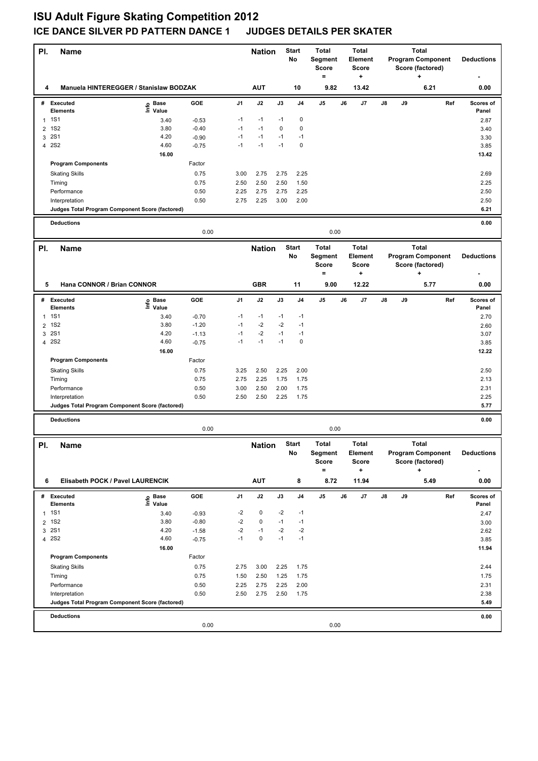## **ISU Adult Figure Skating Competition 2012 ICE DANCE SILVER PD PATTERN DANCE 1 JUDGES DETAILS PER SKATER**

| PI.            | <b>Name</b>                                     |                   |              |                | <b>Nation</b> |              | <b>Start</b><br>No | <b>Total</b><br><b>Segment</b><br><b>Score</b><br>$=$ |    | <b>Total</b><br>Element<br><b>Score</b><br>٠  |    |    | <b>Total</b><br><b>Program Component</b><br>Score (factored)<br>٠ |     | <b>Deductions</b>  |
|----------------|-------------------------------------------------|-------------------|--------------|----------------|---------------|--------------|--------------------|-------------------------------------------------------|----|-----------------------------------------------|----|----|-------------------------------------------------------------------|-----|--------------------|
| 4              | Manuela HINTEREGGER / Stanislaw BODZAK          |                   |              |                | <b>AUT</b>    |              | 10                 | 9.82                                                  |    | 13.42                                         |    |    | 6.21                                                              |     | 0.00               |
|                | # Executed<br><b>Elements</b>                   | e Base<br>⊑ Value | <b>GOE</b>   | J <sub>1</sub> | J2            | J3           | J4                 | J5                                                    | J6 | J7                                            | J8 | J9 |                                                                   | Ref | Scores of<br>Panel |
| $\mathbf{1}$   | <b>1S1</b>                                      | 3.40              | $-0.53$      | $-1$           | $-1$          | $-1$         | $\pmb{0}$          |                                                       |    |                                               |    |    |                                                                   |     | 2.87               |
| $\overline{2}$ | <b>1S2</b>                                      | 3.80              | $-0.40$      | $-1$           | $-1$          | $\mathbf 0$  | $\mathbf 0$        |                                                       |    |                                               |    |    |                                                                   |     | 3.40               |
| 3              | <b>2S1</b>                                      | 4.20              | $-0.90$      | $-1$           | $-1$          | $-1$         | $-1$               |                                                       |    |                                               |    |    |                                                                   |     | 3.30               |
| $\overline{4}$ | <b>2S2</b>                                      | 4.60              | $-0.75$      | $-1$           | $-1$          | $-1$         | 0                  |                                                       |    |                                               |    |    |                                                                   |     | 3.85               |
|                |                                                 | 16.00             |              |                |               |              |                    |                                                       |    |                                               |    |    |                                                                   |     | 13.42              |
|                | <b>Program Components</b>                       |                   | Factor       |                |               |              |                    |                                                       |    |                                               |    |    |                                                                   |     |                    |
|                | <b>Skating Skills</b>                           |                   | 0.75         | 3.00           | 2.75          | 2.75         | 2.25               |                                                       |    |                                               |    |    |                                                                   |     | 2.69               |
|                | Timing<br>Performance                           |                   | 0.75<br>0.50 | 2.50<br>2.25   | 2.50<br>2.75  | 2.50<br>2.75 | 1.50<br>2.25       |                                                       |    |                                               |    |    |                                                                   |     | 2.25<br>2.50       |
|                | Interpretation                                  |                   | 0.50         | 2.75           | 2.25          | 3.00         | 2.00               |                                                       |    |                                               |    |    |                                                                   |     | 2.50               |
|                | Judges Total Program Component Score (factored) |                   |              |                |               |              |                    |                                                       |    |                                               |    |    |                                                                   |     | 6.21               |
|                |                                                 |                   |              |                |               |              |                    |                                                       |    |                                               |    |    |                                                                   |     |                    |
|                | <b>Deductions</b>                               |                   | 0.00         |                |               |              |                    | 0.00                                                  |    |                                               |    |    |                                                                   |     | 0.00               |
| PI.            | Name                                            |                   |              |                | <b>Nation</b> |              | <b>Start</b><br>No | <b>Total</b><br>Segment<br><b>Score</b>               |    | <b>Total</b><br>Element<br>Score              |    |    | Total<br><b>Program Component</b><br>Score (factored)             |     | <b>Deductions</b>  |
|                |                                                 |                   |              |                |               |              |                    | $=$                                                   |    | ۰.                                            |    |    | ÷                                                                 |     |                    |
| 5              | Hana CONNOR / Brian CONNOR                      |                   |              |                | <b>GBR</b>    |              | 11                 | 9.00                                                  |    | 12.22                                         |    |    | 5.77                                                              |     | 0.00               |
|                | # Executed<br><b>Elements</b>                   | e Base<br>⊆ Value | <b>GOE</b>   | J1             | J2            | J3           | J <sub>4</sub>     | J5                                                    | J6 | J7                                            | J8 | J9 |                                                                   | Ref | Scores of<br>Panel |
| $\mathbf{1}$   | <b>1S1</b>                                      | 3.40              | $-0.70$      | $-1$           | $-1$          | $-1$         | $-1$               |                                                       |    |                                               |    |    |                                                                   |     | 2.70               |
| 2              | <b>1S2</b>                                      | 3.80              | $-1.20$      | $-1$           | $-2$          | $-2$         | $-1$               |                                                       |    |                                               |    |    |                                                                   |     | 2.60               |
| 3              | <b>2S1</b>                                      | 4.20              | $-1.13$      | $-1$           | $-2$          | $-1$         | $-1$               |                                                       |    |                                               |    |    |                                                                   |     | 3.07               |
| $\overline{4}$ | <b>2S2</b>                                      | 4.60              | $-0.75$      | $-1$           | $-1$          | $-1$         | $\mathbf 0$        |                                                       |    |                                               |    |    |                                                                   |     | 3.85               |
|                | <b>Program Components</b>                       | 16.00             | Factor       |                |               |              |                    |                                                       |    |                                               |    |    |                                                                   |     | 12.22              |
|                |                                                 |                   | 0.75         | 3.25           | 2.50          | 2.25         | 2.00               |                                                       |    |                                               |    |    |                                                                   |     |                    |
|                | <b>Skating Skills</b><br>Timing                 |                   | 0.75         | 2.75           | 2.25          | 1.75         | 1.75               |                                                       |    |                                               |    |    |                                                                   |     | 2.50<br>2.13       |
|                | Performance                                     |                   | 0.50         | 3.00           | 2.50          | 2.00         | 1.75               |                                                       |    |                                               |    |    |                                                                   |     | 2.31               |
|                | Interpretation                                  |                   | 0.50         | 2.50           | 2.50          | 2.25         | 1.75               |                                                       |    |                                               |    |    |                                                                   |     | 2.25               |
|                | Judges Total Program Component Score (factored) |                   |              |                |               |              |                    |                                                       |    |                                               |    |    |                                                                   |     | 5.77               |
|                | <b>Deductions</b>                               |                   |              |                |               |              |                    |                                                       |    |                                               |    |    |                                                                   |     | 0.00               |
|                |                                                 |                   | 0.00         |                |               |              |                    | 0.00                                                  |    |                                               |    |    |                                                                   |     |                    |
| PI.            | Name                                            |                   |              |                | <b>Nation</b> |              | <b>Start</b><br>No | <b>Total</b><br>Segment<br>Score<br>$\qquad \qquad =$ |    | <b>Total</b><br>Element<br>Score<br>$\ddot{}$ |    |    | <b>Total</b><br><b>Program Component</b><br>Score (factored)<br>+ |     | <b>Deductions</b>  |
| 6              | Elisabeth POCK / Pavel LAURENCIK                |                   |              |                | <b>AUT</b>    |              | 8                  | 8.72                                                  |    | 11.94                                         |    |    | 5.49                                                              |     | 0.00               |
|                | # Executed                                      |                   | GOE          | J1             | J2            | J3           | J4                 | J5                                                    | J6 | J7                                            | J8 | J9 |                                                                   | Ref | Scores of          |
|                | <b>Elements</b>                                 | e Base<br>⊑ Value |              |                |               |              |                    |                                                       |    |                                               |    |    |                                                                   |     | Panel              |
|                | 1 1 S 1                                         | 3.40              | $-0.93$      | -2             | 0             | $-2$         | $-1$               |                                                       |    |                                               |    |    |                                                                   |     | 2.47               |
|                | 2 1S2                                           | 3.80              | $-0.80$      | $-2$           | $\pmb{0}$     | $-1$         | $-1$               |                                                       |    |                                               |    |    |                                                                   |     | 3.00               |
| 3              | <b>2S1</b>                                      | 4.20              | $-1.58$      | $-2$           | $-1$          | $-2$         | $-2$               |                                                       |    |                                               |    |    |                                                                   |     | 2.62               |
|                | 4 2 S 2                                         | 4.60              | $-0.75$      | $-1$           | $\pmb{0}$     | $-1$         | $-1$               |                                                       |    |                                               |    |    |                                                                   |     | 3.85               |
|                |                                                 | 16.00             |              |                |               |              |                    |                                                       |    |                                               |    |    |                                                                   |     | 11.94              |
|                | <b>Program Components</b>                       |                   | Factor       |                |               |              |                    |                                                       |    |                                               |    |    |                                                                   |     |                    |
|                | <b>Skating Skills</b>                           |                   | 0.75         | 2.75           | 3.00          | 2.25         | 1.75               |                                                       |    |                                               |    |    |                                                                   |     | 2.44               |
|                | Timing<br>Performance                           |                   | 0.75<br>0.50 | 1.50<br>2.25   | 2.50<br>2.75  | 1.25<br>2.25 | 1.75<br>2.00       |                                                       |    |                                               |    |    |                                                                   |     | 1.75<br>2.31       |
|                | Interpretation                                  |                   | 0.50         | 2.50           | 2.75          | 2.50         | 1.75               |                                                       |    |                                               |    |    |                                                                   |     | 2.38               |
|                | Judges Total Program Component Score (factored) |                   |              |                |               |              |                    |                                                       |    |                                               |    |    |                                                                   |     | 5.49               |
|                | <b>Deductions</b>                               |                   |              |                |               |              |                    |                                                       |    |                                               |    |    |                                                                   |     | 0.00               |
|                |                                                 |                   | 0.00         |                |               |              |                    | 0.00                                                  |    |                                               |    |    |                                                                   |     |                    |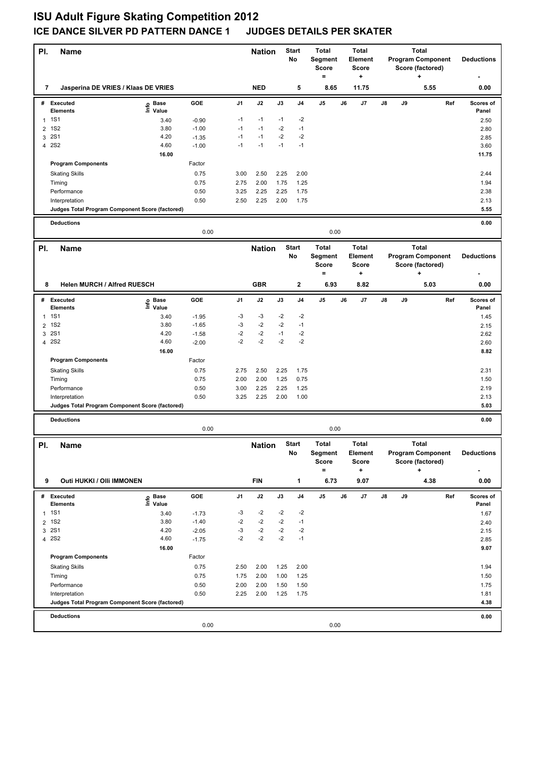## **ISU Adult Figure Skating Competition 2012 ICE DANCE SILVER PD PATTERN DANCE 1 JUDGES DETAILS PER SKATER**

| PI.          | <b>Name</b>                                     |                            |                    |              | <b>Nation</b> |              | <b>Start</b><br><b>No</b> | <b>Total</b><br><b>Segment</b><br><b>Score</b><br>$\equiv$ | <b>Total</b><br>Element<br><b>Score</b><br>٠  |               |    | <b>Total</b><br><b>Program Component</b><br>Score (factored)<br>÷ | <b>Deductions</b>  |
|--------------|-------------------------------------------------|----------------------------|--------------------|--------------|---------------|--------------|---------------------------|------------------------------------------------------------|-----------------------------------------------|---------------|----|-------------------------------------------------------------------|--------------------|
| 7            | Jasperina DE VRIES / Klaas DE VRIES             |                            |                    |              | <b>NED</b>    |              | 5                         | 8.65                                                       | 11.75                                         |               |    | 5.55                                                              | 0.00               |
|              | # Executed<br><b>Elements</b>                   | e Base<br>⊑ Value          | GOE                | J1           | J2            | J3           | J <sub>4</sub>            | J5                                                         | J6<br>J7                                      | J8            | J9 | Ref                                                               | Scores of<br>Panel |
| $\mathbf{1}$ | <b>1S1</b>                                      | 3.40                       | $-0.90$            | $-1$         | $-1$          | $-1$         | $-2$                      |                                                            |                                               |               |    |                                                                   | 2.50               |
| 2            | <b>1S2</b>                                      | 3.80                       | $-1.00$            | $-1$         | $-1$          | $-2$         | $-1$                      |                                                            |                                               |               |    |                                                                   | 2.80               |
| 3            | <b>2S1</b>                                      | 4.20                       | $-1.35$            | $-1$         | $-1$          | $-2$         | $-2$                      |                                                            |                                               |               |    |                                                                   | 2.85               |
|              | 4 2 S 2                                         | 4.60                       | $-1.00$            | $-1$         | $-1$          | $-1$         | $-1$                      |                                                            |                                               |               |    |                                                                   | 3.60               |
|              |                                                 | 16.00                      |                    |              |               |              |                           |                                                            |                                               |               |    |                                                                   | 11.75              |
|              | <b>Program Components</b>                       |                            | Factor             |              |               |              |                           |                                                            |                                               |               |    |                                                                   |                    |
|              | <b>Skating Skills</b>                           |                            | 0.75<br>0.75       | 3.00<br>2.75 | 2.50<br>2.00  | 2.25<br>1.75 | 2.00<br>1.25              |                                                            |                                               |               |    |                                                                   | 2.44               |
|              | Timing<br>Performance                           |                            | 0.50               | 3.25         | 2.25          | 2.25         | 1.75                      |                                                            |                                               |               |    |                                                                   | 1.94<br>2.38       |
|              | Interpretation                                  |                            | 0.50               | 2.50         | 2.25          | 2.00         | 1.75                      |                                                            |                                               |               |    |                                                                   | 2.13               |
|              | Judges Total Program Component Score (factored) |                            |                    |              |               |              |                           |                                                            |                                               |               |    |                                                                   | 5.55               |
|              | <b>Deductions</b>                               |                            |                    |              |               |              |                           |                                                            |                                               |               |    |                                                                   | 0.00               |
|              |                                                 |                            | 0.00               |              |               |              |                           | 0.00                                                       |                                               |               |    |                                                                   |                    |
| PI.          | Name                                            |                            |                    |              | <b>Nation</b> |              | <b>Start</b><br>No        | <b>Total</b><br><b>Segment</b><br><b>Score</b>             | <b>Total</b><br>Element<br><b>Score</b>       |               |    | Total<br><b>Program Component</b><br>Score (factored)             | <b>Deductions</b>  |
|              |                                                 |                            |                    |              |               |              |                           | $\equiv$                                                   | ٠                                             |               |    | ÷                                                                 |                    |
| 8            | <b>Helen MURCH / Alfred RUESCH</b>              |                            |                    |              | <b>GBR</b>    |              | $\mathbf{2}$              | 6.93                                                       | 8.82                                          |               |    | 5.03                                                              | 0.00               |
|              | # Executed<br><b>Elements</b>                   | e Base<br>E Value<br>Value | GOE                | J1           | J2            | J3           | J4                        | J5                                                         | J6<br>J7                                      | $\mathsf{J}8$ | J9 | Ref                                                               | Scores of<br>Panel |
| $\mathbf{1}$ | <b>1S1</b>                                      | 3.40                       | $-1.95$            | -3           | -3            | $-2$         | $-2$                      |                                                            |                                               |               |    |                                                                   | 1.45               |
| 2            | <b>1S2</b>                                      | 3.80                       | $-1.65$            | $-3$         | $-2$          | $-2$         | $-1$                      |                                                            |                                               |               |    |                                                                   | 2.15               |
| 3            | <b>2S1</b>                                      | 4.20                       | $-1.58$            | $-2$         | $-2$          | $-1$         | $-2$                      |                                                            |                                               |               |    |                                                                   | 2.62               |
|              | 4 2S2                                           | 4.60                       | $-2.00$            | $-2$         | $-2$          | $-2$         | $-2$                      |                                                            |                                               |               |    |                                                                   | 2.60               |
|              | <b>Program Components</b>                       | 16.00                      | Factor             |              |               |              |                           |                                                            |                                               |               |    |                                                                   | 8.82               |
|              |                                                 |                            | 0.75               | 2.75         | 2.50          | 2.25         | 1.75                      |                                                            |                                               |               |    |                                                                   | 2.31               |
|              | <b>Skating Skills</b><br>Timing                 |                            | 0.75               | 2.00         | 2.00          | 1.25         | 0.75                      |                                                            |                                               |               |    |                                                                   | 1.50               |
|              | Performance                                     |                            | 0.50               | 3.00         | 2.25          | 2.25         | 1.25                      |                                                            |                                               |               |    |                                                                   | 2.19               |
|              | Interpretation                                  |                            | 0.50               | 3.25         | 2.25          | 2.00         | 1.00                      |                                                            |                                               |               |    |                                                                   | 2.13               |
|              | Judges Total Program Component Score (factored) |                            |                    |              |               |              |                           |                                                            |                                               |               |    |                                                                   | 5.03               |
|              | <b>Deductions</b>                               |                            | 0.00               |              |               |              |                           | 0.00                                                       |                                               |               |    |                                                                   | 0.00               |
|              |                                                 |                            |                    |              |               |              |                           |                                                            |                                               |               |    |                                                                   |                    |
| PI.          | Name                                            |                            |                    |              | <b>Nation</b> |              | <b>Start</b><br>No        | <b>Total</b><br>Segment<br>Score<br>$\equiv$               | <b>Total</b><br>Element<br>Score<br>$\ddot{}$ |               |    | <b>Total</b><br><b>Program Component</b><br>Score (factored)<br>+ | <b>Deductions</b>  |
| 9            | Outi HUKKI / OIIi IMMONEN                       |                            |                    |              | <b>FIN</b>    |              | 1                         | 6.73                                                       | 9.07                                          |               |    | 4.38                                                              | 0.00               |
|              | # Executed                                      | e Base<br>⊑ Value          | GOE                | J1           | J2            | J3           | J <sub>4</sub>            | J5                                                         | J6<br>J7                                      | J8            | J9 | Ref                                                               | Scores of          |
|              | Elements                                        |                            |                    |              |               |              |                           |                                                            |                                               |               |    |                                                                   | Panel              |
| $\mathbf{1}$ | <b>1S1</b>                                      | 3.40                       | $-1.73$            | -3           | -2            | $-2$         | -2                        |                                                            |                                               |               |    |                                                                   | 1.67               |
|              | 2 1S2                                           | 3.80                       | $-1.40$            | $-2$         | $-2$          | $-2$         | $-1$                      |                                                            |                                               |               |    |                                                                   | 2.40               |
| 3            | <b>2S1</b><br>4 2 S 2                           | 4.20<br>4.60               | $-2.05$<br>$-1.75$ | -3<br>$-2$   | $-2$<br>$-2$  | $-2$<br>$-2$ | $-2$<br>$-1$              |                                                            |                                               |               |    |                                                                   | 2.15<br>2.85       |
|              |                                                 | 16.00                      |                    |              |               |              |                           |                                                            |                                               |               |    |                                                                   | 9.07               |
|              | <b>Program Components</b>                       |                            | Factor             |              |               |              |                           |                                                            |                                               |               |    |                                                                   |                    |
|              | <b>Skating Skills</b>                           |                            | 0.75               | 2.50         | 2.00          | 1.25         | 2.00                      |                                                            |                                               |               |    |                                                                   | 1.94               |
|              | Timing                                          |                            | 0.75               | 1.75         | 2.00          | 1.00         | 1.25                      |                                                            |                                               |               |    |                                                                   | 1.50               |
|              | Performance                                     |                            | 0.50               | 2.00         | 2.00          | 1.50         | 1.50                      |                                                            |                                               |               |    |                                                                   | 1.75               |
|              | Interpretation                                  |                            | 0.50               | 2.25         | 2.00          | 1.25         | 1.75                      |                                                            |                                               |               |    |                                                                   | 1.81               |
|              | Judges Total Program Component Score (factored) |                            |                    |              |               |              |                           |                                                            |                                               |               |    |                                                                   | 4.38               |
|              | <b>Deductions</b>                               |                            |                    |              |               |              |                           |                                                            |                                               |               |    |                                                                   | 0.00               |
|              |                                                 |                            | 0.00               |              |               |              |                           | 0.00                                                       |                                               |               |    |                                                                   |                    |